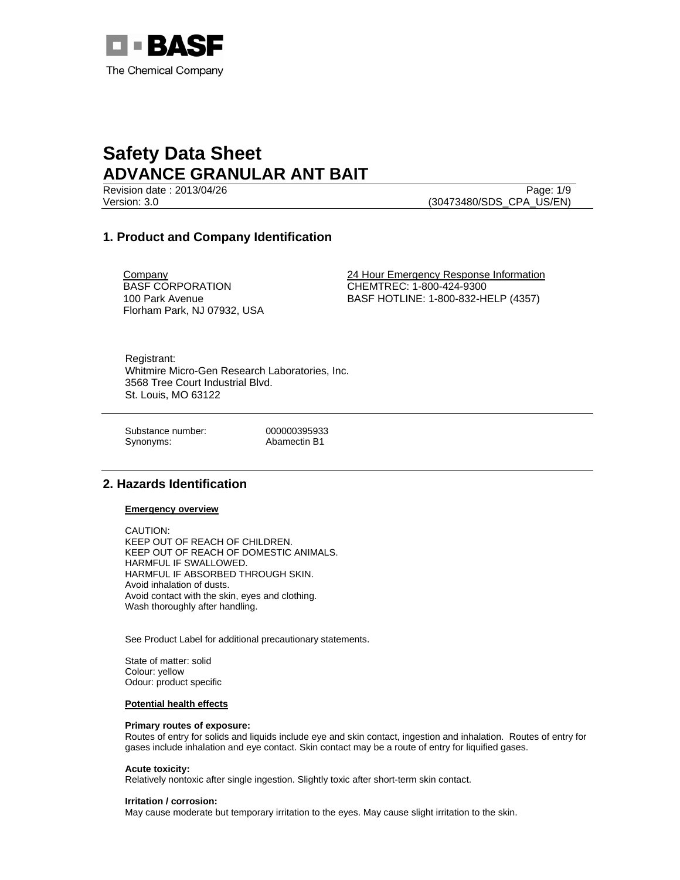

Revision date : 2013/04/26 Page: 1/9 Version: 3.0 (30473480/SDS\_CPA\_US/EN)

### **1. Product and Company Identification**

**Company** BASF CORPORATION 100 Park Avenue Florham Park, NJ 07932, USA 24 Hour Emergency Response Information CHEMTREC: 1-800-424-9300 BASF HOTLINE: 1-800-832-HELP (4357)

Registrant: Whitmire Micro-Gen Research Laboratories, Inc. 3568 Tree Court Industrial Blvd. St. Louis, MO 63122

Substance number: 000000395933 Synonyms: Abamectin B1

### **2. Hazards Identification**

### **Emergency overview**

CAUTION: KEEP OUT OF REACH OF CHILDREN. KEEP OUT OF REACH OF DOMESTIC ANIMALS. HARMFUL IF SWALLOWED. HARMFUL IF ABSORBED THROUGH SKIN. Avoid inhalation of dusts. Avoid contact with the skin, eyes and clothing. Wash thoroughly after handling.

See Product Label for additional precautionary statements.

State of matter: solid Colour: yellow Odour: product specific

### **Potential health effects**

### **Primary routes of exposure:**

Routes of entry for solids and liquids include eye and skin contact, ingestion and inhalation. Routes of entry for gases include inhalation and eye contact. Skin contact may be a route of entry for liquified gases.

### **Acute toxicity:**

Relatively nontoxic after single ingestion. Slightly toxic after short-term skin contact.

### **Irritation / corrosion:**

May cause moderate but temporary irritation to the eyes. May cause slight irritation to the skin.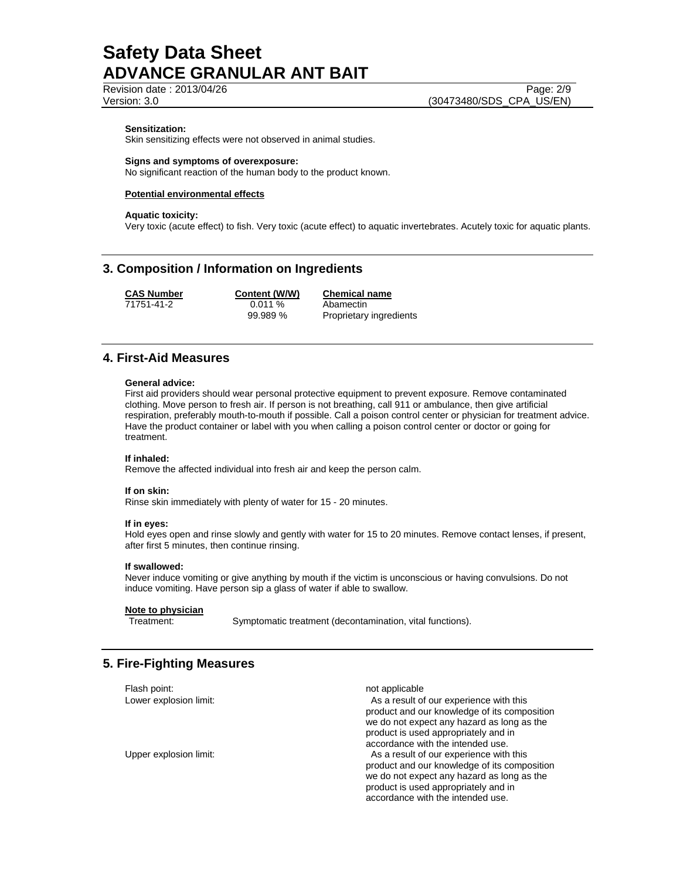Revision date : 2013/04/26 Page: 2/9 Version: 3.0 (30473480/SDS\_CPA\_US/EN)

### **Sensitization:**

Skin sensitizing effects were not observed in animal studies.

#### **Signs and symptoms of overexposure:**

No significant reaction of the human body to the product known.

### **Potential environmental effects**

#### **Aquatic toxicity:**

Very toxic (acute effect) to fish. Very toxic (acute effect) to aquatic invertebrates. Acutely toxic for aquatic plants.

### **3. Composition / Information on Ingredients**

71751-41-2 0.011 % Abamectin

**CAS Number Content (W/W) Chemical name** 99.989 % Proprietary ingredients

### **4. First-Aid Measures**

#### **General advice:**

First aid providers should wear personal protective equipment to prevent exposure. Remove contaminated clothing. Move person to fresh air. If person is not breathing, call 911 or ambulance, then give artificial respiration, preferably mouth-to-mouth if possible. Call a poison control center or physician for treatment advice. Have the product container or label with you when calling a poison control center or doctor or going for treatment.

### **If inhaled:**

Remove the affected individual into fresh air and keep the person calm.

#### **If on skin:**

Rinse skin immediately with plenty of water for 15 - 20 minutes.

### **If in eyes:**

Hold eyes open and rinse slowly and gently with water for 15 to 20 minutes. Remove contact lenses, if present, after first 5 minutes, then continue rinsing.

### **If swallowed:**

Never induce vomiting or give anything by mouth if the victim is unconscious or having convulsions. Do not induce vomiting. Have person sip a glass of water if able to swallow.

### **Note to physician**

Treatment: Symptomatic treatment (decontamination, vital functions).

### **5. Fire-Fighting Measures**

Flash point: not applicable not applicable Lower explosion limit: As a result of our experience with this product and our knowledge of its composition we do not expect any hazard as long as the product is used appropriately and in accordance with the intended use. Upper explosion limit: As a result of our experience with this product and our knowledge of its composition we do not expect any hazard as long as the product is used appropriately and in accordance with the intended use.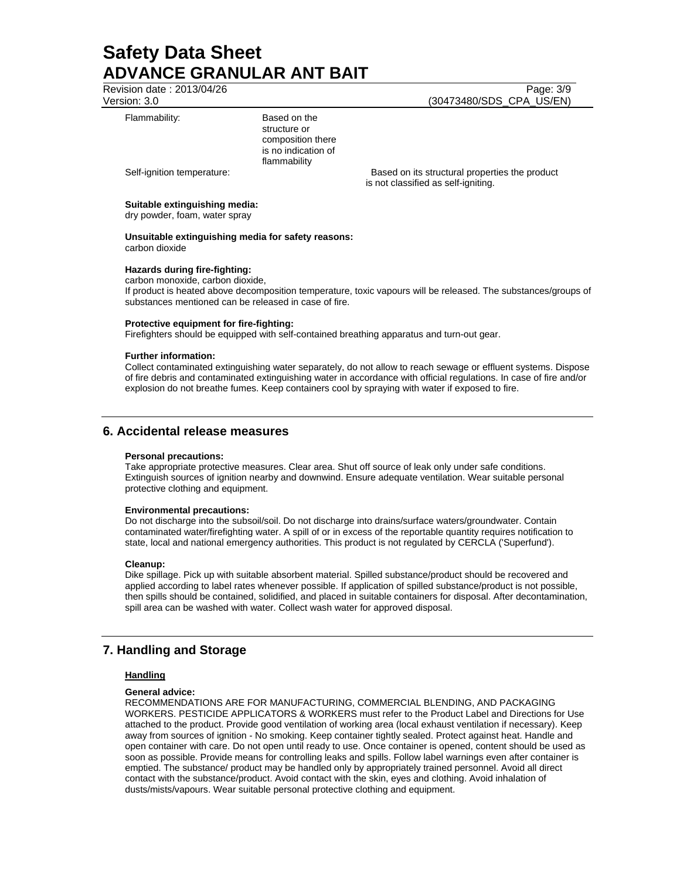Revision date : 2013/04/26 Page: 3/9 Version: 3.0 (30473480/SDS\_CPA\_US/EN)

### Flammability: Based on the

structure or composition there is no indication of flammability

Self-ignition temperature: **Based on its structural properties the product** Based on its structural properties the product is not classified as self-igniting.

### **Suitable extinguishing media:**

dry powder, foam, water spray

### **Unsuitable extinguishing media for safety reasons:**  carbon dioxide

### **Hazards during fire-fighting:**

carbon monoxide, carbon dioxide,

If product is heated above decomposition temperature, toxic vapours will be released. The substances/groups of substances mentioned can be released in case of fire.

### **Protective equipment for fire-fighting:**

Firefighters should be equipped with self-contained breathing apparatus and turn-out gear.

### **Further information:**

Collect contaminated extinguishing water separately, do not allow to reach sewage or effluent systems. Dispose of fire debris and contaminated extinguishing water in accordance with official regulations. In case of fire and/or explosion do not breathe fumes. Keep containers cool by spraying with water if exposed to fire.

### **6. Accidental release measures**

### **Personal precautions:**

Take appropriate protective measures. Clear area. Shut off source of leak only under safe conditions. Extinguish sources of ignition nearby and downwind. Ensure adequate ventilation. Wear suitable personal protective clothing and equipment.

### **Environmental precautions:**

Do not discharge into the subsoil/soil. Do not discharge into drains/surface waters/groundwater. Contain contaminated water/firefighting water. A spill of or in excess of the reportable quantity requires notification to state, local and national emergency authorities. This product is not regulated by CERCLA ('Superfund').

### **Cleanup:**

Dike spillage. Pick up with suitable absorbent material. Spilled substance/product should be recovered and applied according to label rates whenever possible. If application of spilled substance/product is not possible, then spills should be contained, solidified, and placed in suitable containers for disposal. After decontamination, spill area can be washed with water. Collect wash water for approved disposal.

### **7. Handling and Storage**

### **Handling**

### **General advice:**

RECOMMENDATIONS ARE FOR MANUFACTURING, COMMERCIAL BLENDING, AND PACKAGING WORKERS. PESTICIDE APPLICATORS & WORKERS must refer to the Product Label and Directions for Use attached to the product. Provide good ventilation of working area (local exhaust ventilation if necessary). Keep away from sources of ignition - No smoking. Keep container tightly sealed. Protect against heat. Handle and open container with care. Do not open until ready to use. Once container is opened, content should be used as soon as possible. Provide means for controlling leaks and spills. Follow label warnings even after container is emptied. The substance/ product may be handled only by appropriately trained personnel. Avoid all direct contact with the substance/product. Avoid contact with the skin, eyes and clothing. Avoid inhalation of dusts/mists/vapours. Wear suitable personal protective clothing and equipment.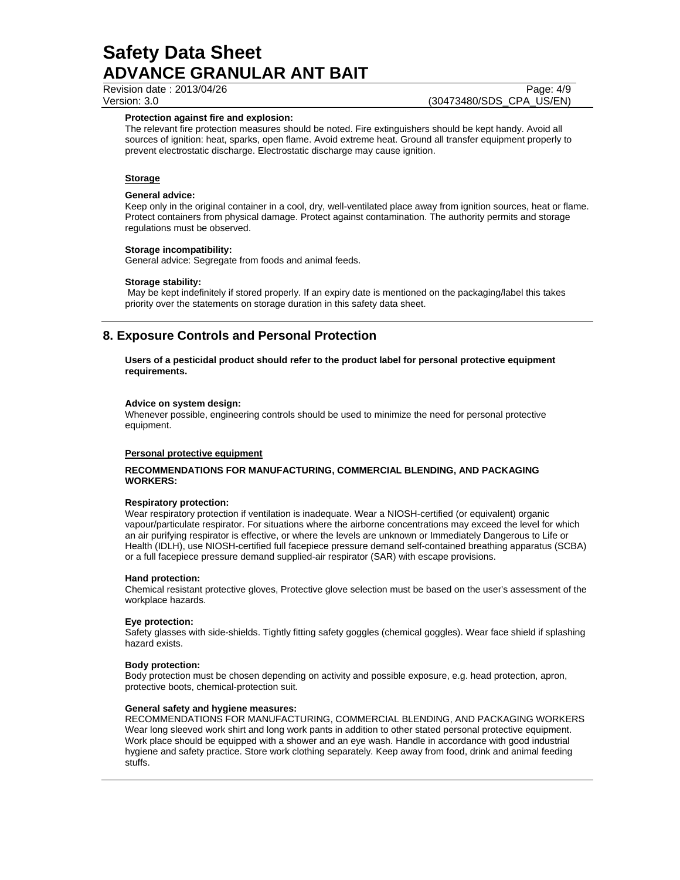Revision date : 2013/04/26 Page: 4/9

Version: 3.0 (30473480/SDS\_CPA\_US/EN)

### **Protection against fire and explosion:**

The relevant fire protection measures should be noted. Fire extinguishers should be kept handy. Avoid all sources of ignition: heat, sparks, open flame. Avoid extreme heat. Ground all transfer equipment properly to prevent electrostatic discharge. Electrostatic discharge may cause ignition.

### **Storage**

### **General advice:**

Keep only in the original container in a cool, dry, well-ventilated place away from ignition sources, heat or flame. Protect containers from physical damage. Protect against contamination. The authority permits and storage regulations must be observed.

### **Storage incompatibility:**

General advice: Segregate from foods and animal feeds.

### **Storage stability:**

 May be kept indefinitely if stored properly. If an expiry date is mentioned on the packaging/label this takes priority over the statements on storage duration in this safety data sheet.

### **8. Exposure Controls and Personal Protection**

**Users of a pesticidal product should refer to the product label for personal protective equipment requirements.** 

### **Advice on system design:**

Whenever possible, engineering controls should be used to minimize the need for personal protective equipment.

### **Personal protective equipment**

### **RECOMMENDATIONS FOR MANUFACTURING, COMMERCIAL BLENDING, AND PACKAGING WORKERS:**

### **Respiratory protection:**

Wear respiratory protection if ventilation is inadequate. Wear a NIOSH-certified (or equivalent) organic vapour/particulate respirator. For situations where the airborne concentrations may exceed the level for which an air purifying respirator is effective, or where the levels are unknown or Immediately Dangerous to Life or Health (IDLH), use NIOSH-certified full facepiece pressure demand self-contained breathing apparatus (SCBA) or a full facepiece pressure demand supplied-air respirator (SAR) with escape provisions.

### **Hand protection:**

Chemical resistant protective gloves, Protective glove selection must be based on the user's assessment of the workplace hazards.

### **Eye protection:**

Safety glasses with side-shields. Tightly fitting safety goggles (chemical goggles). Wear face shield if splashing hazard exists.

### **Body protection:**

Body protection must be chosen depending on activity and possible exposure, e.g. head protection, apron, protective boots, chemical-protection suit.

### **General safety and hygiene measures:**

RECOMMENDATIONS FOR MANUFACTURING, COMMERCIAL BLENDING, AND PACKAGING WORKERS Wear long sleeved work shirt and long work pants in addition to other stated personal protective equipment. Work place should be equipped with a shower and an eye wash. Handle in accordance with good industrial hygiene and safety practice. Store work clothing separately. Keep away from food, drink and animal feeding stuffs.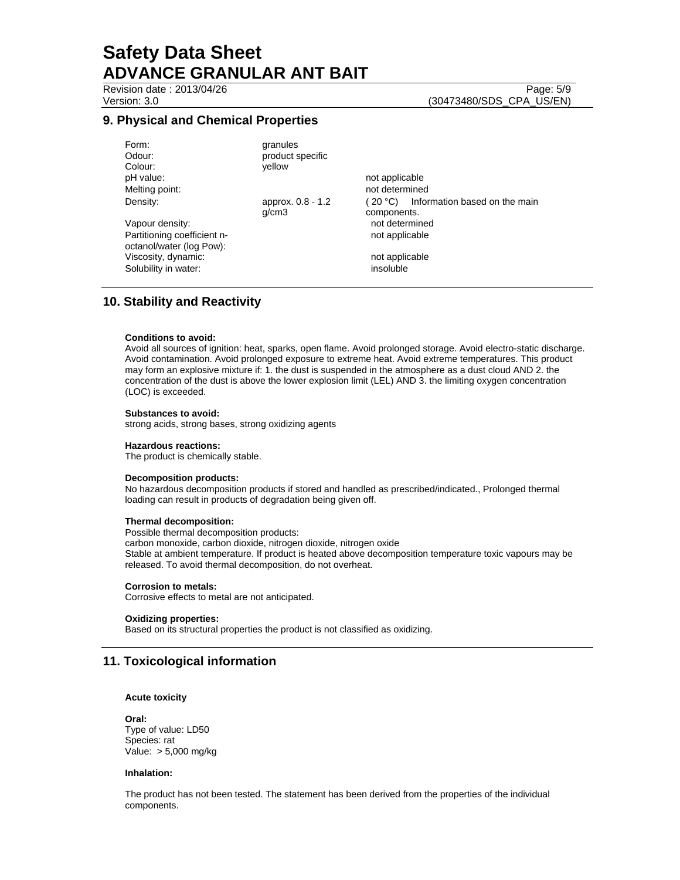### **9. Physical and Chemical Properties**

| granules          |                                           |
|-------------------|-------------------------------------------|
| product specific  |                                           |
| vellow            |                                           |
|                   | not applicable                            |
|                   | not determined                            |
| approx. 0.8 - 1.2 | Information based on the main<br>(20 °C). |
| q/cm3             | components.                               |
|                   | not determined                            |
|                   | not applicable                            |
|                   |                                           |
|                   | not applicable                            |
|                   | insoluble                                 |
|                   |                                           |

### **10. Stability and Reactivity**

### **Conditions to avoid:**

Avoid all sources of ignition: heat, sparks, open flame. Avoid prolonged storage. Avoid electro-static discharge. Avoid contamination. Avoid prolonged exposure to extreme heat. Avoid extreme temperatures. This product may form an explosive mixture if: 1. the dust is suspended in the atmosphere as a dust cloud AND 2. the concentration of the dust is above the lower explosion limit (LEL) AND 3. the limiting oxygen concentration (LOC) is exceeded.

### **Substances to avoid:**

strong acids, strong bases, strong oxidizing agents

### **Hazardous reactions:**

The product is chemically stable.

### **Decomposition products:**

No hazardous decomposition products if stored and handled as prescribed/indicated., Prolonged thermal loading can result in products of degradation being given off.

### **Thermal decomposition:**

Possible thermal decomposition products:

carbon monoxide, carbon dioxide, nitrogen dioxide, nitrogen oxide Stable at ambient temperature. If product is heated above decomposition temperature toxic vapours may be released. To avoid thermal decomposition, do not overheat.

### **Corrosion to metals:**

Corrosive effects to metal are not anticipated.

### **Oxidizing properties:**

Based on its structural properties the product is not classified as oxidizing.

### **11. Toxicological information**

#### **Acute toxicity**

**Oral:** Type of value: LD50 Species: rat Value: > 5,000 mg/kg

#### **Inhalation:**

The product has not been tested. The statement has been derived from the properties of the individual components.

Revision date : 2013/04/26 Page: 5/9 Version: 3.0 (30473480/SDS\_CPA\_US/EN)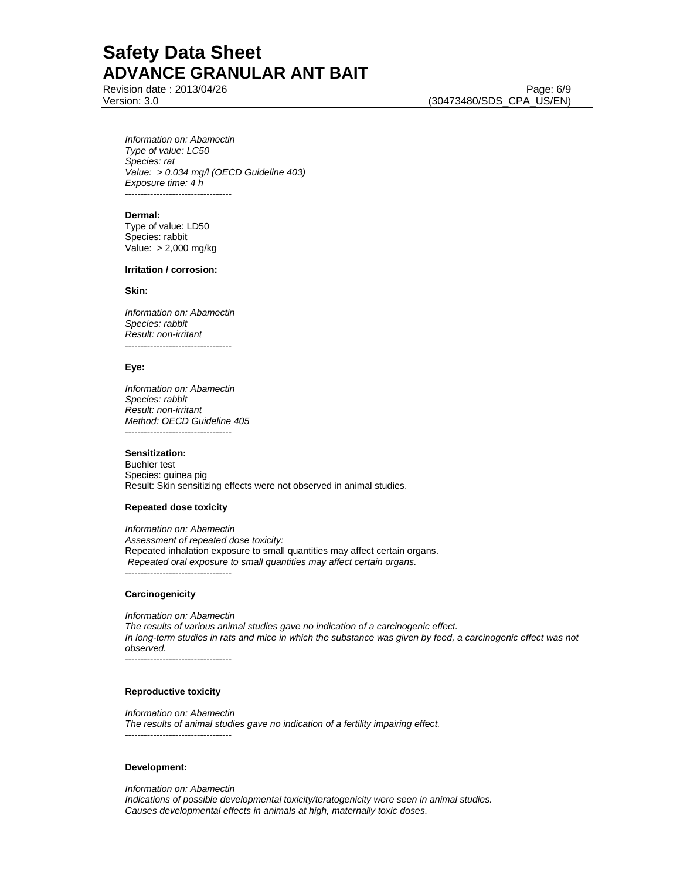Revision date : 2013/04/26 Page: 6/9

Version: 3.0 (30473480/SDS\_CPA\_US/EN)

*Information on: Abamectin Type of value: LC50 Species: rat Value: > 0.034 mg/l (OECD Guideline 403) Exposure time: 4 h*  ----------------------------------

#### **Dermal:**

Type of value: LD50 Species: rabbit Value: > 2,000 mg/kg

#### **Irritation / corrosion:**

### **Skin:**

*Information on: Abamectin Species: rabbit Result: non-irritant*  ----------------------------------

### **Eye:**

*Information on: Abamectin Species: rabbit Result: non-irritant Method: OECD Guideline 405*  ----------------------------------

#### **Sensitization:**

Buehler test Species: guinea pig Result: Skin sensitizing effects were not observed in animal studies.

### **Repeated dose toxicity**

*Information on: Abamectin Assessment of repeated dose toxicity:*  Repeated inhalation exposure to small quantities may affect certain organs.  *Repeated oral exposure to small quantities may affect certain organs.*  ----------------------------------

### **Carcinogenicity**

*Information on: Abamectin The results of various animal studies gave no indication of a carcinogenic effect. In long-term studies in rats and mice in which the substance was given by feed, a carcinogenic effect was not observed.*  ----------------------------------

### **Reproductive toxicity**

*Information on: Abamectin The results of animal studies gave no indication of a fertility impairing effect.*  ----------------------------------

### **Development:**

*Information on: Abamectin Indications of possible developmental toxicity/teratogenicity were seen in animal studies. Causes developmental effects in animals at high, maternally toxic doses.*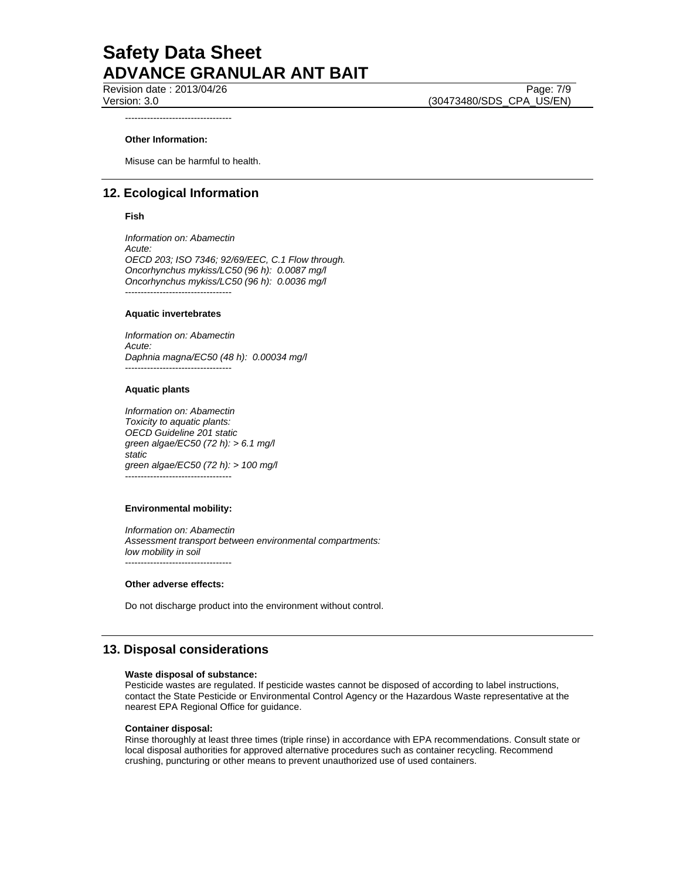Revision date : 2013/04/26 Page: 7/9 Version: 3.0 (30473480/SDS\_CPA\_US/EN)

----------------------------------

### **Other Information:**

Misuse can be harmful to health.

### **12. Ecological Information**

### **Fish**

*Information on: Abamectin Acute: OECD 203; ISO 7346; 92/69/EEC, C.1 Flow through. Oncorhynchus mykiss/LC50 (96 h): 0.0087 mg/l Oncorhynchus mykiss/LC50 (96 h): 0.0036 mg/l*  ----------------------------------

#### **Aquatic invertebrates**

*Information on: Abamectin Acute: Daphnia magna/EC50 (48 h): 0.00034 mg/l*  ----------------------------------

### **Aquatic plants**

*Information on: Abamectin Toxicity to aquatic plants: OECD Guideline 201 static green algae/EC50 (72 h): > 6.1 mg/l static green algae/EC50 (72 h): > 100 mg/l*  ----------------------------------

### **Environmental mobility:**

*Information on: Abamectin Assessment transport between environmental compartments: low mobility in soil*  ----------------------------------

### **Other adverse effects:**

Do not discharge product into the environment without control.

### **13. Disposal considerations**

#### **Waste disposal of substance:**

Pesticide wastes are regulated. If pesticide wastes cannot be disposed of according to label instructions, contact the State Pesticide or Environmental Control Agency or the Hazardous Waste representative at the nearest EPA Regional Office for guidance.

### **Container disposal:**

Rinse thoroughly at least three times (triple rinse) in accordance with EPA recommendations. Consult state or local disposal authorities for approved alternative procedures such as container recycling. Recommend crushing, puncturing or other means to prevent unauthorized use of used containers.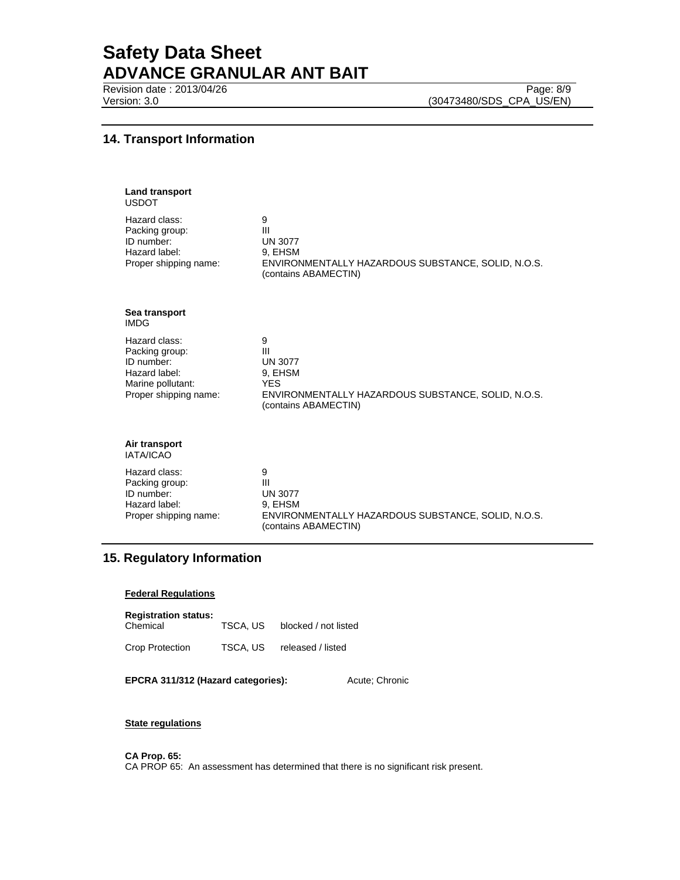Revision date : 2013/04/26 Page: 8/9

Version: 3.0 (30473480/SDS\_CPA\_US/EN)

### **14. Transport Information**

| <b>Land transport</b><br><b>USDOT</b>                                                                        |                                                                                                                                 |
|--------------------------------------------------------------------------------------------------------------|---------------------------------------------------------------------------------------------------------------------------------|
| Hazard class:<br>Packing group:<br>ID number:<br>Hazard label:<br>Proper shipping name:                      | 9<br>III<br><b>UN 3077</b><br>9, EHSM<br>ENVIRONMENTALLY HAZARDOUS SUBSTANCE, SOLID, N.O.S.<br>(contains ABAMECTIN)             |
| Sea transport<br><b>IMDG</b>                                                                                 |                                                                                                                                 |
| Hazard class:<br>Packing group:<br>ID number:<br>Hazard label:<br>Marine pollutant:<br>Proper shipping name: | 9<br>Ш<br><b>UN 3077</b><br>9, EHSM<br><b>YES</b><br>ENVIRONMENTALLY HAZARDOUS SUBSTANCE, SOLID, N.O.S.<br>(contains ABAMECTIN) |
| Air transport<br>IATA/ICAO                                                                                   |                                                                                                                                 |
| Hazard class:<br>Packing group:<br>ID number:<br>Hazard label:<br>Proper shipping name:                      | 9<br>$\mathbf{III}$<br><b>UN 3077</b><br>9, EHSM<br>ENVIRONMENTALLY HAZARDOUS SUBSTANCE, SOLID, N.O.S.<br>(contains ABAMECTIN)  |

### **15. Regulatory Information**

### **Federal Regulations**

| <b>Registration status:</b><br>Chemical | TSCA. US | blocked / not listed |
|-----------------------------------------|----------|----------------------|
| Crop Protection                         | TSCA, US | released / listed    |

**EPCRA 311/312 (Hazard categories):** Acute; Chronic

### **State regulations**

**CA Prop. 65:** 

CA PROP 65: An assessment has determined that there is no significant risk present.